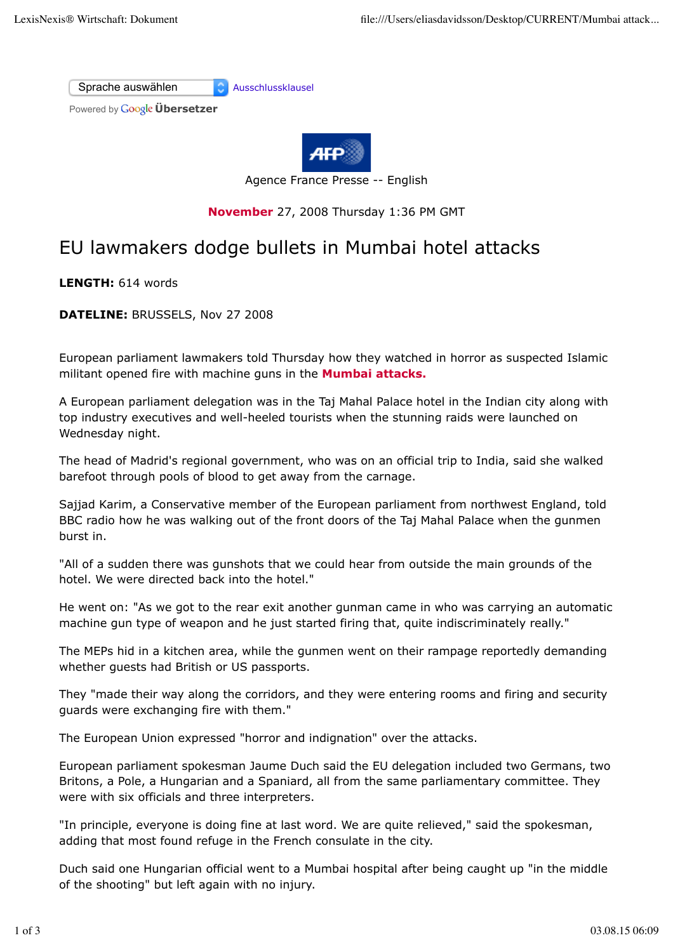



Agence France Presse -- English

## **November** 27, 2008 Thursday 1:36 PM GMT

## EU lawmakers dodge bullets in Mumbai hotel attacks

**LENGTH:** 614 words

**DATELINE:** BRUSSELS, Nov 27 2008

European parliament lawmakers told Thursday how they watched in horror as suspected Islamic militant opened fire with machine guns in the **Mumbai attacks.**

A European parliament delegation was in the Taj Mahal Palace hotel in the Indian city along with top industry executives and well-heeled tourists when the stunning raids were launched on Wednesday night.

The head of Madrid's regional government, who was on an official trip to India, said she walked barefoot through pools of blood to get away from the carnage.

Sajjad Karim, a Conservative member of the European parliament from northwest England, told BBC radio how he was walking out of the front doors of the Taj Mahal Palace when the gunmen burst in.

"All of a sudden there was gunshots that we could hear from outside the main grounds of the hotel. We were directed back into the hotel."

He went on: "As we got to the rear exit another gunman came in who was carrying an automatic machine gun type of weapon and he just started firing that, quite indiscriminately really."

The MEPs hid in a kitchen area, while the gunmen went on their rampage reportedly demanding whether guests had British or US passports.

They "made their way along the corridors, and they were entering rooms and firing and security guards were exchanging fire with them."

The European Union expressed "horror and indignation" over the attacks.

European parliament spokesman Jaume Duch said the EU delegation included two Germans, two Britons, a Pole, a Hungarian and a Spaniard, all from the same parliamentary committee. They were with six officials and three interpreters.

"In principle, everyone is doing fine at last word. We are quite relieved," said the spokesman, adding that most found refuge in the French consulate in the city.

Duch said one Hungarian official went to a Mumbai hospital after being caught up "in the middle of the shooting" but left again with no injury.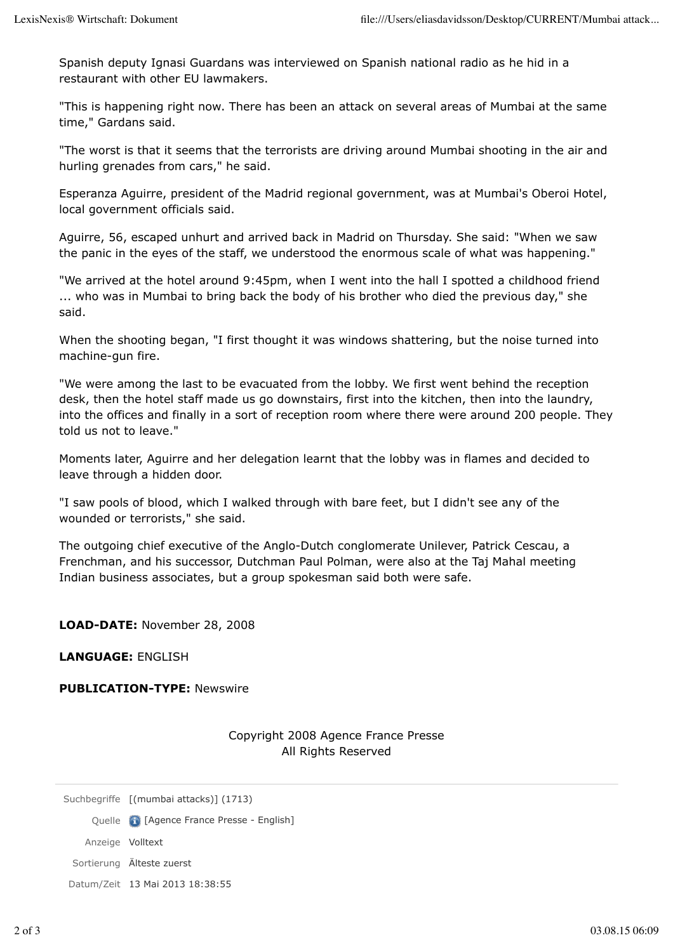Spanish deputy Ignasi Guardans was interviewed on Spanish national radio as he hid in a restaurant with other EU lawmakers.

"This is happening right now. There has been an attack on several areas of Mumbai at the same time," Gardans said.

"The worst is that it seems that the terrorists are driving around Mumbai shooting in the air and hurling grenades from cars," he said.

Esperanza Aguirre, president of the Madrid regional government, was at Mumbai's Oberoi Hotel, local government officials said.

Aguirre, 56, escaped unhurt and arrived back in Madrid on Thursday. She said: "When we saw the panic in the eyes of the staff, we understood the enormous scale of what was happening."

"We arrived at the hotel around 9:45pm, when I went into the hall I spotted a childhood friend ... who was in Mumbai to bring back the body of his brother who died the previous day," she said.

When the shooting began, "I first thought it was windows shattering, but the noise turned into machine-gun fire.

"We were among the last to be evacuated from the lobby. We first went behind the reception desk, then the hotel staff made us go downstairs, first into the kitchen, then into the laundry, into the offices and finally in a sort of reception room where there were around 200 people. They told us not to leave."

Moments later, Aguirre and her delegation learnt that the lobby was in flames and decided to leave through a hidden door.

"I saw pools of blood, which I walked through with bare feet, but I didn't see any of the wounded or terrorists," she said.

The outgoing chief executive of the Anglo-Dutch conglomerate Unilever, Patrick Cescau, a Frenchman, and his successor, Dutchman Paul Polman, were also at the Taj Mahal meeting Indian business associates, but a group spokesman said both were safe.

**LOAD-DATE:** November 28, 2008

**LANGUAGE:** ENGLISH

## **PUBLICATION-TYPE:** Newswire

Copyright 2008 Agence France Presse All Rights Reserved

Suchbegriffe [(mumbai attacks)] (1713)

Quelle **[Agence France Presse - English**]

Anzeige Volltext

Sortierung Älteste zuerst

Datum/Zeit 13 Mai 2013 18:38:55